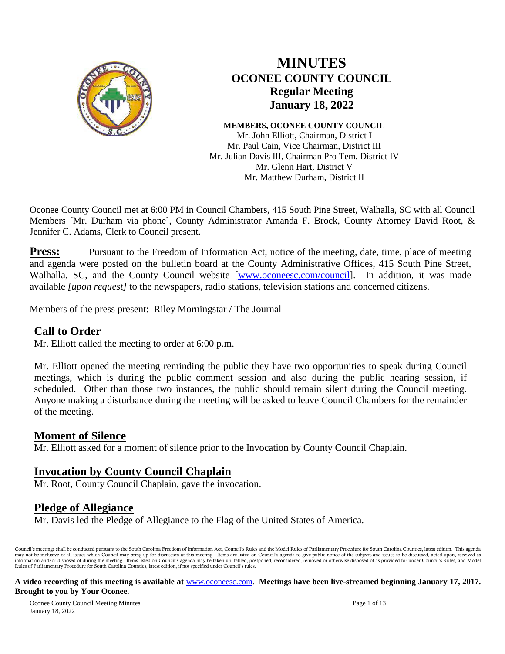

# **MINUTES OCONEE COUNTY COUNCIL Regular Meeting January 18, 2022**

**MEMBERS, OCONEE COUNTY COUNCIL**

Mr. John Elliott, Chairman, District I Mr. Paul Cain, Vice Chairman, District III Mr. Julian Davis III, Chairman Pro Tem, District IV Mr. Glenn Hart, District V Mr. Matthew Durham, District II

Oconee County Council met at 6:00 PM in Council Chambers, 415 South Pine Street, Walhalla, SC with all Council Members [Mr. Durham via phone], County Administrator Amanda F. Brock, County Attorney David Root, & Jennifer C. Adams, Clerk to Council present.

**Press:** Pursuant to the Freedom of Information Act, notice of the meeting, date, time, place of meeting and agenda were posted on the bulletin board at the County Administrative Offices, 415 South Pine Street, Walhalla, SC, and the County Council website [\[www.oconeesc.com/council\]](http://www.oconeesc.com/council). In addition, it was made available *[upon request]* to the newspapers, radio stations, television stations and concerned citizens.

Members of the press present: Riley Morningstar / The Journal

#### **Call to Order**

Mr. Elliott called the meeting to order at 6:00 p.m.

Mr. Elliott opened the meeting reminding the public they have two opportunities to speak during Council meetings, which is during the public comment session and also during the public hearing session, if scheduled. Other than those two instances, the public should remain silent during the Council meeting. Anyone making a disturbance during the meeting will be asked to leave Council Chambers for the remainder of the meeting.

#### **Moment of Silence**

Mr. Elliott asked for a moment of silence prior to the Invocation by County Council Chaplain.

## **Invocation by County Council Chaplain**

Mr. Root, County Council Chaplain, gave the invocation.

## **Pledge of Allegiance**

Mr. Davis led the Pledge of Allegiance to the Flag of the United States of America.

Council's meetings shall be conducted pursuant to the South Carolina Freedom of Information Act, Council's Rules and the Model Rules of Parliamentary Procedure for South Carolina Counties, latest edition. This agenda may not be inclusive of all issues which Council may bring up for discussion at this meeting. Items are listed on Council's agenda to give public notice of the subjects and issues to be discussed, acted upon, received as<br>i Rules of Parliamentary Procedure for South Carolina Counties, latest edition, if not specified under Council's rules.

#### **A video recording of this meeting is available at** [www.oconeesc.com.](http://www.oconeesc.com/) **Meetings have been live-streamed beginning January 17, 2017. Brought to you by Your Oconee.**

Oconee County Council Meeting Minutes Page 1 of 13 January 18, 2022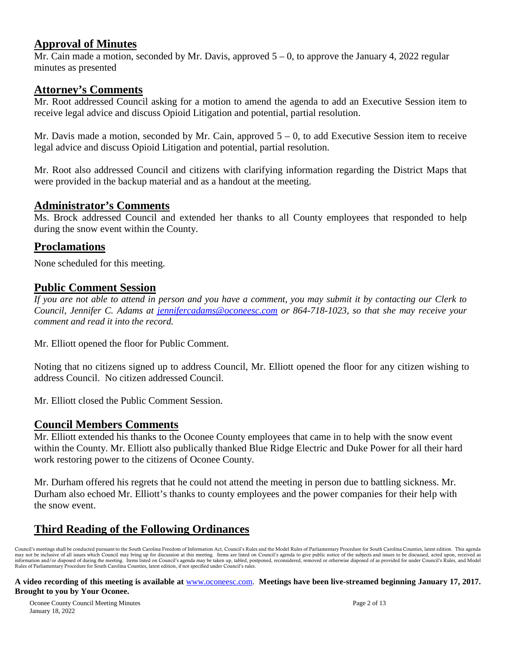#### **Approval of Minutes**

Mr. Cain made a motion, seconded by Mr. Davis, approved  $5 - 0$ , to approve the January 4, 2022 regular minutes as presented

#### **Attorney's Comments**

Mr. Root addressed Council asking for a motion to amend the agenda to add an Executive Session item to receive legal advice and discuss Opioid Litigation and potential, partial resolution.

Mr. Davis made a motion, seconded by Mr. Cain, approved  $5 - 0$ , to add Executive Session item to receive legal advice and discuss Opioid Litigation and potential, partial resolution.

Mr. Root also addressed Council and citizens with clarifying information regarding the District Maps that were provided in the backup material and as a handout at the meeting.

#### **Administrator's Comments**

Ms. Brock addressed Council and extended her thanks to all County employees that responded to help during the snow event within the County.

#### **Proclamations**

None scheduled for this meeting.

#### **Public Comment Session**

*If you are not able to attend in person and you have a comment, you may submit it by contacting our Clerk to Council, Jennifer C. Adams at jennifercadams@oconeesc.com or 864-718-1023, so that she may receive your comment and read it into the record.* 

Mr. Elliott opened the floor for Public Comment.

Noting that no citizens signed up to address Council, Mr. Elliott opened the floor for any citizen wishing to address Council. No citizen addressed Council.

Mr. Elliott closed the Public Comment Session.

#### **Council Members Comments**

Mr. Elliott extended his thanks to the Oconee County employees that came in to help with the snow event within the County. Mr. Elliott also publically thanked Blue Ridge Electric and Duke Power for all their hard work restoring power to the citizens of Oconee County.

Mr. Durham offered his regrets that he could not attend the meeting in person due to battling sickness. Mr. Durham also echoed Mr. Elliott's thanks to county employees and the power companies for their help with the snow event.

# **Third Reading of the Following Ordinances**

Council's meetings shall be conducted pursuant to the South Carolina Freedom of Information Act, Council's Rules and the Model Rules of Parliamentary Procedure for South Carolina Counties, latest edition. This agenda may not be inclusive of all issues which Council may bring up for discussion at this meeting. Items are listed on Council's agenda to give public notice of the subjects and issues to be discussed, acted upon, received as<br>i Rules of Parliamentary Procedure for South Carolina Counties, latest edition, if not specified under Council's rules.

#### **A video recording of this meeting is available at** [www.oconeesc.com.](http://www.oconeesc.com/) **Meetings have been live-streamed beginning January 17, 2017. Brought to you by Your Oconee.**

Oconee County Council Meeting Minutes Page 2 of 13 January 18, 2022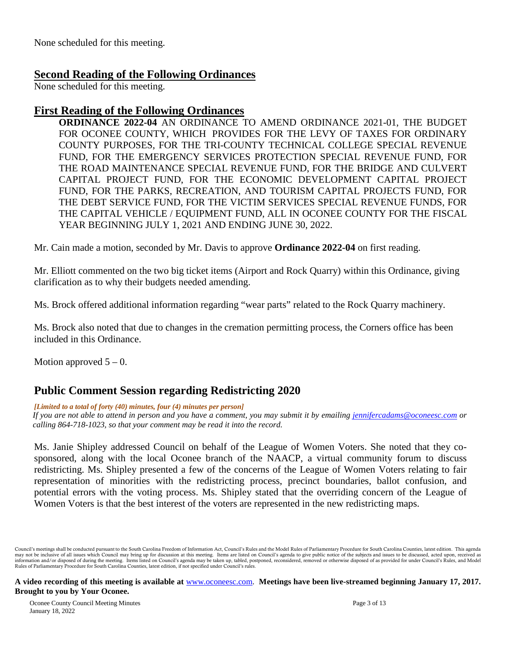None scheduled for this meeting.

#### **Second Reading of the Following Ordinances**

None scheduled for this meeting.

#### **First Reading of the Following Ordinances**

**ORDINANCE 2022-04** AN ORDINANCE TO AMEND ORDINANCE 2021-01, THE BUDGET FOR OCONEE COUNTY, WHICH PROVIDES FOR THE LEVY OF TAXES FOR ORDINARY COUNTY PURPOSES, FOR THE TRI-COUNTY TECHNICAL COLLEGE SPECIAL REVENUE FUND, FOR THE EMERGENCY SERVICES PROTECTION SPECIAL REVENUE FUND, FOR THE ROAD MAINTENANCE SPECIAL REVENUE FUND, FOR THE BRIDGE AND CULVERT CAPITAL PROJECT FUND, FOR THE ECONOMIC DEVELOPMENT CAPITAL PROJECT FUND, FOR THE PARKS, RECREATION, AND TOURISM CAPITAL PROJECTS FUND, FOR THE DEBT SERVICE FUND, FOR THE VICTIM SERVICES SPECIAL REVENUE FUNDS, FOR THE CAPITAL VEHICLE / EQUIPMENT FUND, ALL IN OCONEE COUNTY FOR THE FISCAL YEAR BEGINNING JULY 1, 2021 AND ENDING JUNE 30, 2022.

Mr. Cain made a motion, seconded by Mr. Davis to approve **Ordinance 2022-04** on first reading.

Mr. Elliott commented on the two big ticket items (Airport and Rock Quarry) within this Ordinance, giving clarification as to why their budgets needed amending.

Ms. Brock offered additional information regarding "wear parts" related to the Rock Quarry machinery.

Ms. Brock also noted that due to changes in the cremation permitting process, the Corners office has been included in this Ordinance.

Motion approved  $5 - 0$ .

## **Public Comment Session regarding Redistricting 2020**

*[Limited to a total of forty (40) minutes, four (4) minutes per person]*

*If you are not able to attend in person and you have a comment, you may submit it by emailing [jennifercadams@oconeesc.com](mailto:jennifercadams@oconeesc.com) or calling 864-718-1023, so that your comment may be read it into the record.*

Ms. Janie Shipley addressed Council on behalf of the League of Women Voters. She noted that they cosponsored, along with the local Oconee branch of the NAACP, a virtual community forum to discuss redistricting. Ms. Shipley presented a few of the concerns of the League of Women Voters relating to fair representation of minorities with the redistricting process, precinct boundaries, ballot confusion, and potential errors with the voting process. Ms. Shipley stated that the overriding concern of the League of Women Voters is that the best interest of the voters are represented in the new redistricting maps.

Council's meetings shall be conducted pursuant to the South Carolina Freedom of Information Act, Council's Rules and the Model Rules of Parliamentary Procedure for South Carolina Counties, latest edition. This agenda may not be inclusive of all issues which Council may bring up for discussion at this meeting. Items are listed on Council's agenda to give public notice of the subjects and issues to be discussed, acted upon, received as<br>i Rules of Parliamentary Procedure for South Carolina Counties, latest edition, if not specified under Council's rules.

**A video recording of this meeting is available at** [www.oconeesc.com.](http://www.oconeesc.com/) **Meetings have been live-streamed beginning January 17, 2017. Brought to you by Your Oconee.**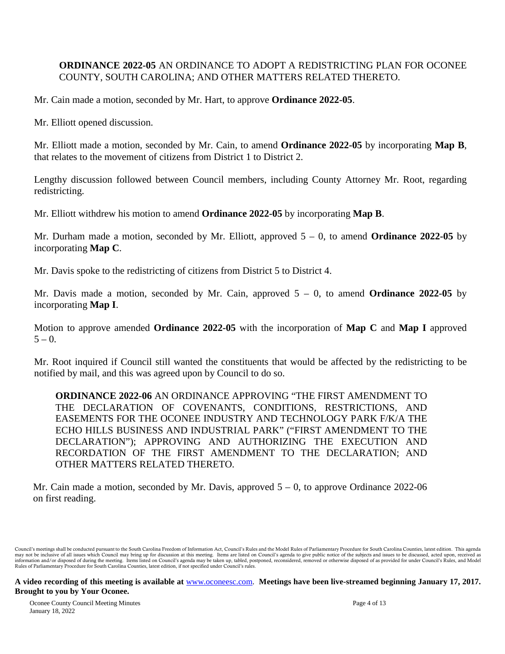#### **ORDINANCE 2022-05** AN ORDINANCE TO ADOPT A REDISTRICTING PLAN FOR OCONEE COUNTY, SOUTH CAROLINA; AND OTHER MATTERS RELATED THERETO.

Mr. Cain made a motion, seconded by Mr. Hart, to approve **Ordinance 2022-05**.

Mr. Elliott opened discussion.

Mr. Elliott made a motion, seconded by Mr. Cain, to amend **Ordinance 2022-05** by incorporating **Map B**, that relates to the movement of citizens from District 1 to District 2.

Lengthy discussion followed between Council members, including County Attorney Mr. Root, regarding redistricting.

Mr. Elliott withdrew his motion to amend **Ordinance 2022-05** by incorporating **Map B**.

Mr. Durham made a motion, seconded by Mr. Elliott, approved 5 – 0, to amend **Ordinance 2022-05** by incorporating **Map C**.

Mr. Davis spoke to the redistricting of citizens from District 5 to District 4.

Mr. Davis made a motion, seconded by Mr. Cain, approved 5 – 0, to amend **Ordinance 2022-05** by incorporating **Map I**.

Motion to approve amended **Ordinance 2022-05** with the incorporation of **Map C** and **Map I** approved  $5 - 0.$ 

Mr. Root inquired if Council still wanted the constituents that would be affected by the redistricting to be notified by mail, and this was agreed upon by Council to do so.

**ORDINANCE 2022-06** AN ORDINANCE APPROVING "THE FIRST AMENDMENT TO THE DECLARATION OF COVENANTS, CONDITIONS, RESTRICTIONS, AND EASEMENTS FOR THE OCONEE INDUSTRY AND TECHNOLOGY PARK F/K/A THE ECHO HILLS BUSINESS AND INDUSTRIAL PARK" ("FIRST AMENDMENT TO THE DECLARATION"); APPROVING AND AUTHORIZING THE EXECUTION AND RECORDATION OF THE FIRST AMENDMENT TO THE DECLARATION; AND OTHER MATTERS RELATED THERETO.

Mr. Cain made a motion, seconded by Mr. Davis, approved  $5 - 0$ , to approve Ordinance 2022-06 on first reading.

#### **A video recording of this meeting is available at** [www.oconeesc.com.](http://www.oconeesc.com/) **Meetings have been live-streamed beginning January 17, 2017. Brought to you by Your Oconee.**

Oconee County Council Meeting Minutes Page 4 of 13 January 18, 2022

Council's meetings shall be conducted pursuant to the South Carolina Freedom of Information Act, Council's Rules and the Model Rules of Parliamentary Procedure for South Carolina Counties, latest edition. This agenda may not be inclusive of all issues which Council may bring up for discussion at this meeting. Items are listed on Council's agenda to give public notice of the subjects and issues to be discussed, acted upon, received as<br>i Rules of Parliamentary Procedure for South Carolina Counties, latest edition, if not specified under Council's rules.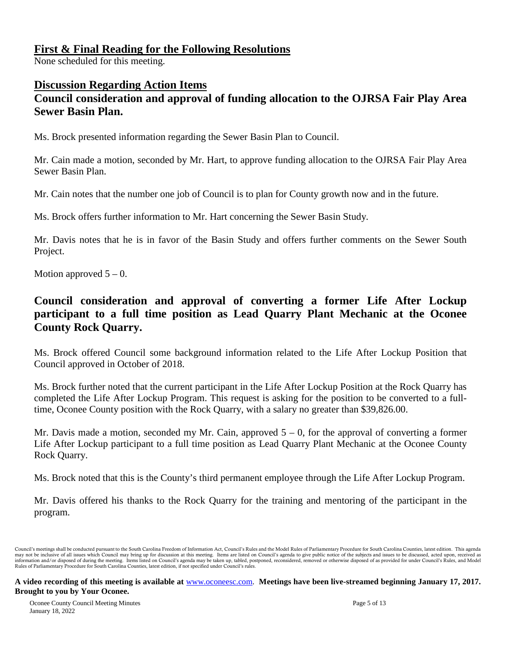#### **First & Final Reading for the Following Resolutions**

None scheduled for this meeting.

## **Discussion Regarding Action Items**

# **Council consideration and approval of funding allocation to the OJRSA Fair Play Area Sewer Basin Plan.**

Ms. Brock presented information regarding the Sewer Basin Plan to Council.

Mr. Cain made a motion, seconded by Mr. Hart, to approve funding allocation to the OJRSA Fair Play Area Sewer Basin Plan.

Mr. Cain notes that the number one job of Council is to plan for County growth now and in the future.

Ms. Brock offers further information to Mr. Hart concerning the Sewer Basin Study.

Mr. Davis notes that he is in favor of the Basin Study and offers further comments on the Sewer South Project.

Motion approved  $5 - 0$ .

# **Council consideration and approval of converting a former Life After Lockup participant to a full time position as Lead Quarry Plant Mechanic at the Oconee County Rock Quarry.**

Ms. Brock offered Council some background information related to the Life After Lockup Position that Council approved in October of 2018.

Ms. Brock further noted that the current participant in the Life After Lockup Position at the Rock Quarry has completed the Life After Lockup Program. This request is asking for the position to be converted to a fulltime, Oconee County position with the Rock Quarry, with a salary no greater than \$39,826.00.

Mr. Davis made a motion, seconded my Mr. Cain, approved  $5 - 0$ , for the approval of converting a former Life After Lockup participant to a full time position as Lead Quarry Plant Mechanic at the Oconee County Rock Quarry.

Ms. Brock noted that this is the County's third permanent employee through the Life After Lockup Program.

Mr. Davis offered his thanks to the Rock Quarry for the training and mentoring of the participant in the program.

Council's meetings shall be conducted pursuant to the South Carolina Freedom of Information Act, Council's Rules and the Model Rules of Parliamentary Procedure for South Carolina Counties, latest edition. This agenda may not be inclusive of all issues which Council may bring up for discussion at this meeting. Items are listed on Council's agenda to give public notice of the subjects and issues to be discussed, acted upon, received as<br>i Rules of Parliamentary Procedure for South Carolina Counties, latest edition, if not specified under Council's rules.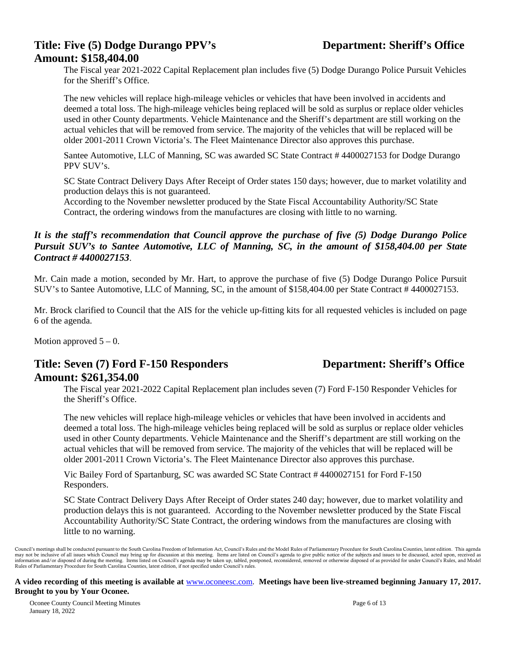#### **Title: Five (5) Dodge Durango PPV's Department: Sheriff's Office Amount: \$158,404.00**

The Fiscal year 2021-2022 Capital Replacement plan includes five (5) Dodge Durango Police Pursuit Vehicles for the Sheriff's Office.

The new vehicles will replace high-mileage vehicles or vehicles that have been involved in accidents and deemed a total loss. The high-mileage vehicles being replaced will be sold as surplus or replace older vehicles used in other County departments. Vehicle Maintenance and the Sheriff's department are still working on the actual vehicles that will be removed from service. The majority of the vehicles that will be replaced will be older 2001-2011 Crown Victoria's. The Fleet Maintenance Director also approves this purchase.

Santee Automotive, LLC of Manning, SC was awarded SC State Contract # 4400027153 for Dodge Durango PPV SUV's.

SC State Contract Delivery Days After Receipt of Order states 150 days; however, due to market volatility and production delays this is not guaranteed.

According to the November newsletter produced by the State Fiscal Accountability Authority/SC State Contract, the ordering windows from the manufactures are closing with little to no warning.

#### *It is the staff's recommendation that Council approve the purchase of five (5) Dodge Durango Police Pursuit SUV's to Santee Automotive, LLC of Manning, SC, in the amount of \$158,404.00 per State Contract # 4400027153*.

Mr. Cain made a motion, seconded by Mr. Hart, to approve the purchase of five (5) Dodge Durango Police Pursuit SUV's to Santee Automotive, LLC of Manning, SC, in the amount of \$158,404.00 per State Contract # 4400027153.

Mr. Brock clarified to Council that the AIS for the vehicle up-fitting kits for all requested vehicles is included on page 6 of the agenda.

Motion approved  $5 - 0$ .

#### **Title: Seven (7) Ford F-150 Responders Department: Sheriff's Office Amount: \$261,354.00**

The Fiscal year 2021-2022 Capital Replacement plan includes seven (7) Ford F-150 Responder Vehicles for the Sheriff's Office.

The new vehicles will replace high-mileage vehicles or vehicles that have been involved in accidents and deemed a total loss. The high-mileage vehicles being replaced will be sold as surplus or replace older vehicles used in other County departments. Vehicle Maintenance and the Sheriff's department are still working on the actual vehicles that will be removed from service. The majority of the vehicles that will be replaced will be older 2001-2011 Crown Victoria's. The Fleet Maintenance Director also approves this purchase.

Vic Bailey Ford of Spartanburg, SC was awarded SC State Contract # 4400027151 for Ford F-150 Responders.

SC State Contract Delivery Days After Receipt of Order states 240 day; however, due to market volatility and production delays this is not guaranteed. According to the November newsletter produced by the State Fiscal Accountability Authority/SC State Contract, the ordering windows from the manufactures are closing with little to no warning.

Council's meetings shall be conducted pursuant to the South Carolina Freedom of Information Act, Council's Rules and the Model Rules of Parliamentary Procedure for South Carolina Counties, latest edition. This agenda may not be inclusive of all issues which Council may bring up for discussion at this meeting. Items are listed on Council's agenda to give public notice of the subjects and issues to be discussed, acted upon, received as<br>i Rules of Parliamentary Procedure for South Carolina Counties, latest edition, if not specified under Council's rules.

#### **A video recording of this meeting is available at** [www.oconeesc.com.](http://www.oconeesc.com/) **Meetings have been live-streamed beginning January 17, 2017. Brought to you by Your Oconee.**

Oconee County Council Meeting Minutes Page 6 of 13 January 18, 2022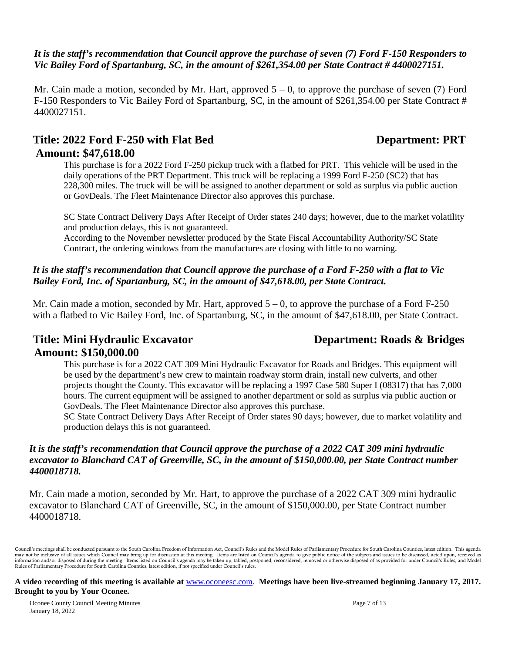#### *It is the staff's recommendation that Council approve the purchase of seven (7) Ford F-150 Responders to Vic Bailey Ford of Spartanburg, SC, in the amount of \$261,354.00 per State Contract # 4400027151.*

Mr. Cain made a motion, seconded by Mr. Hart, approved  $5 - 0$ , to approve the purchase of seven (7) Ford F-150 Responders to Vic Bailey Ford of Spartanburg, SC, in the amount of \$261,354.00 per State Contract # 4400027151.

# Title: 2022 Ford F-250 with Flat Bed Department: PRT **Amount: \$47,618.00**

This purchase is for a 2022 Ford F-250 pickup truck with a flatbed for PRT. This vehicle will be used in the daily operations of the PRT Department. This truck will be replacing a 1999 Ford F-250 (SC2) that has 228,300 miles. The truck will be will be assigned to another department or sold as surplus via public auction or GovDeals. The Fleet Maintenance Director also approves this purchase.

SC State Contract Delivery Days After Receipt of Order states 240 days; however, due to the market volatility and production delays, this is not guaranteed.

According to the November newsletter produced by the State Fiscal Accountability Authority/SC State Contract, the ordering windows from the manufactures are closing with little to no warning.

#### *It is the staff's recommendation that Council approve the purchase of a Ford F-250 with a flat to Vic Bailey Ford, Inc. of Spartanburg, SC, in the amount of \$47,618.00, per State Contract.*

Mr. Cain made a motion, seconded by Mr. Hart, approved  $5 - 0$ , to approve the purchase of a Ford F-250 with a flatbed to Vic Bailey Ford, Inc. of Spartanburg, SC, in the amount of \$47,618.00, per State Contract.

# **Title: Mini Hydraulic Excavator Department: Roads & Bridges Amount: \$150,000.00**

This purchase is for a 2022 CAT 309 Mini Hydraulic Excavator for Roads and Bridges. This equipment will be used by the department's new crew to maintain roadway storm drain, install new culverts, and other projects thought the County. This excavator will be replacing a 1997 Case 580 Super I (08317) that has 7,000 hours. The current equipment will be assigned to another department or sold as surplus via public auction or GovDeals. The Fleet Maintenance Director also approves this purchase.

SC State Contract Delivery Days After Receipt of Order states 90 days; however, due to market volatility and production delays this is not guaranteed.

#### *It is the staff's recommendation that Council approve the purchase of a 2022 CAT 309 mini hydraulic excavator to Blanchard CAT of Greenville, SC, in the amount of \$150,000.00, per State Contract number 4400018718.*

Mr. Cain made a motion, seconded by Mr. Hart, to approve the purchase of a 2022 CAT 309 mini hydraulic excavator to Blanchard CAT of Greenville, SC, in the amount of \$150,000.00, per State Contract number 4400018718.

#### **A video recording of this meeting is available at** [www.oconeesc.com.](http://www.oconeesc.com/) **Meetings have been live-streamed beginning January 17, 2017. Brought to you by Your Oconee.**

Oconee County Council Meeting Minutes Page 7 of 13 January 18, 2022



Council's meetings shall be conducted pursuant to the South Carolina Freedom of Information Act, Council's Rules and the Model Rules of Parliamentary Procedure for South Carolina Counties, latest edition. This agenda may not be inclusive of all issues which Council may bring up for discussion at this meeting. Items are listed on Council's agenda to give public notice of the subjects and issues to be discussed, acted upon, received as<br>i Rules of Parliamentary Procedure for South Carolina Counties, latest edition, if not specified under Council's rules.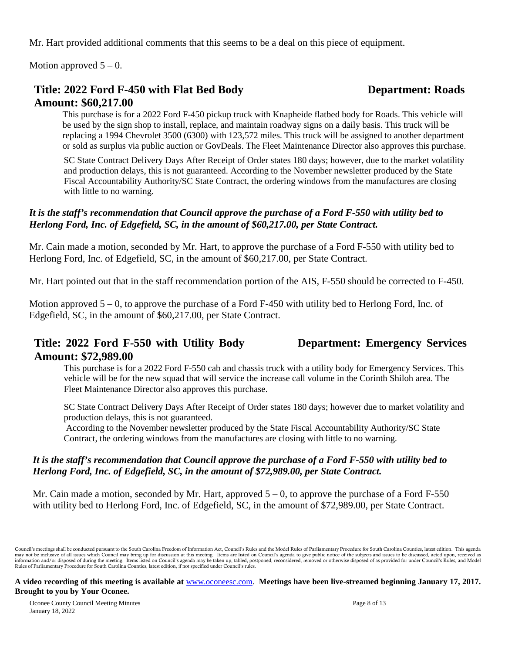Mr. Hart provided additional comments that this seems to be a deal on this piece of equipment.

Motion approved  $5 - 0$ .

# **Title: 2022 Ford F-450 with Flat Bed Body Department: Roads Amount: \$60,217.00**

This purchase is for a 2022 Ford F-450 pickup truck with Knapheide flatbed body for Roads. This vehicle will be used by the sign shop to install, replace, and maintain roadway signs on a daily basis. This truck will be replacing a 1994 Chevrolet 3500 (6300) with 123,572 miles. This truck will be assigned to another department or sold as surplus via public auction or GovDeals. The Fleet Maintenance Director also approves this purchase.

SC State Contract Delivery Days After Receipt of Order states 180 days; however, due to the market volatility and production delays, this is not guaranteed. According to the November newsletter produced by the State Fiscal Accountability Authority/SC State Contract, the ordering windows from the manufactures are closing with little to no warning.

#### *It is the staff's recommendation that Council approve the purchase of a Ford F-550 with utility bed to Herlong Ford, Inc. of Edgefield, SC, in the amount of \$60,217.00, per State Contract.*

Mr. Cain made a motion, seconded by Mr. Hart, to approve the purchase of a Ford F-550 with utility bed to Herlong Ford, Inc. of Edgefield, SC, in the amount of \$60,217.00, per State Contract.

Mr. Hart pointed out that in the staff recommendation portion of the AIS, F-550 should be corrected to F-450.

Motion approved 5 – 0, to approve the purchase of a Ford F-450 with utility bed to Herlong Ford, Inc. of Edgefield, SC, in the amount of \$60,217.00, per State Contract.

## **Title: 2022 Ford F-550 with Utility Body Department: Emergency Services Amount: \$72,989.00**

This purchase is for a 2022 Ford F-550 cab and chassis truck with a utility body for Emergency Services. This vehicle will be for the new squad that will service the increase call volume in the Corinth Shiloh area. The Fleet Maintenance Director also approves this purchase.

SC State Contract Delivery Days After Receipt of Order states 180 days; however due to market volatility and production delays, this is not guaranteed.

According to the November newsletter produced by the State Fiscal Accountability Authority/SC State Contract, the ordering windows from the manufactures are closing with little to no warning.

#### *It is the staff's recommendation that Council approve the purchase of a Ford F-550 with utility bed to Herlong Ford, Inc. of Edgefield, SC, in the amount of \$72,989.00, per State Contract.*

Mr. Cain made a motion, seconded by Mr. Hart, approved  $5 - 0$ , to approve the purchase of a Ford F-550 with utility bed to Herlong Ford, Inc. of Edgefield, SC, in the amount of \$72,989.00, per State Contract.

Council's meetings shall be conducted pursuant to the South Carolina Freedom of Information Act, Council's Rules and the Model Rules of Parliamentary Procedure for South Carolina Counties, latest edition. This agenda may not be inclusive of all issues which Council may bring up for discussion at this meeting. Items are listed on Council's agenda to give public notice of the subjects and issues to be discussed, acted upon, received as<br>i Rules of Parliamentary Procedure for South Carolina Counties, latest edition, if not specified under Council's rules.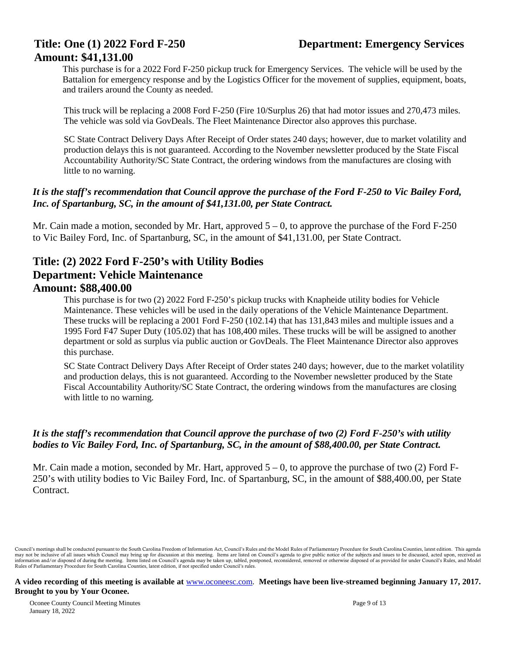#### **Title: One (1) 2022 Ford F-250 Department: Emergency Services**

# **Amount: \$41,131.00**

This purchase is for a 2022 Ford F-250 pickup truck for Emergency Services. The vehicle will be used by the Battalion for emergency response and by the Logistics Officer for the movement of supplies, equipment, boats, and trailers around the County as needed.

This truck will be replacing a 2008 Ford F-250 (Fire 10/Surplus 26) that had motor issues and 270,473 miles. The vehicle was sold via GovDeals. The Fleet Maintenance Director also approves this purchase.

SC State Contract Delivery Days After Receipt of Order states 240 days; however, due to market volatility and production delays this is not guaranteed. According to the November newsletter produced by the State Fiscal Accountability Authority/SC State Contract, the ordering windows from the manufactures are closing with little to no warning.

#### *It is the staff's recommendation that Council approve the purchase of the Ford F-250 to Vic Bailey Ford, Inc. of Spartanburg, SC, in the amount of \$41,131.00, per State Contract.*

Mr. Cain made a motion, seconded by Mr. Hart, approved  $5 - 0$ , to approve the purchase of the Ford F-250 to Vic Bailey Ford, Inc. of Spartanburg, SC, in the amount of \$41,131.00, per State Contract.

#### **Title: (2) 2022 Ford F-250's with Utility Bodies Department: Vehicle Maintenance Amount: \$88,400.00**

This purchase is for two (2) 2022 Ford F-250's pickup trucks with Knapheide utility bodies for Vehicle Maintenance. These vehicles will be used in the daily operations of the Vehicle Maintenance Department. These trucks will be replacing a 2001 Ford F-250 (102.14) that has 131,843 miles and multiple issues and a 1995 Ford F47 Super Duty (105.02) that has 108,400 miles. These trucks will be will be assigned to another department or sold as surplus via public auction or GovDeals. The Fleet Maintenance Director also approves this purchase.

SC State Contract Delivery Days After Receipt of Order states 240 days; however, due to the market volatility and production delays, this is not guaranteed. According to the November newsletter produced by the State Fiscal Accountability Authority/SC State Contract, the ordering windows from the manufactures are closing with little to no warning.

#### *It is the staff's recommendation that Council approve the purchase of two (2) Ford F-250's with utility bodies to Vic Bailey Ford, Inc. of Spartanburg, SC, in the amount of \$88,400.00, per State Contract.*

Mr. Cain made a motion, seconded by Mr. Hart, approved  $5 - 0$ , to approve the purchase of two (2) Ford F-250's with utility bodies to Vic Bailey Ford, Inc. of Spartanburg, SC, in the amount of \$88,400.00, per State Contract.

Council's meetings shall be conducted pursuant to the South Carolina Freedom of Information Act, Council's Rules and the Model Rules of Parliamentary Procedure for South Carolina Counties, latest edition. This agenda may not be inclusive of all issues which Council may bring up for discussion at this meeting. Items are listed on Council's agenda to give public notice of the subjects and issues to be discussed, acted upon, received as<br>i Rules of Parliamentary Procedure for South Carolina Counties, latest edition, if not specified under Council's rules.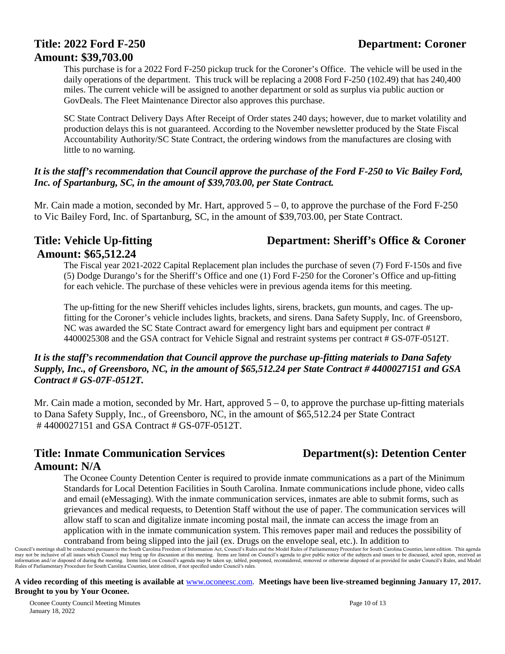# **Title: 2022 Ford F-250 Department: Coroner Amount: \$39,703.00**

This purchase is for a 2022 Ford F-250 pickup truck for the Coroner's Office. The vehicle will be used in the daily operations of the department. This truck will be replacing a 2008 Ford F-250 (102.49) that has 240,400 miles. The current vehicle will be assigned to another department or sold as surplus via public auction or GovDeals. The Fleet Maintenance Director also approves this purchase.

SC State Contract Delivery Days After Receipt of Order states 240 days; however, due to market volatility and production delays this is not guaranteed. According to the November newsletter produced by the State Fiscal Accountability Authority/SC State Contract, the ordering windows from the manufactures are closing with little to no warning.

#### *It is the staff's recommendation that Council approve the purchase of the Ford F-250 to Vic Bailey Ford, Inc. of Spartanburg, SC, in the amount of \$39,703.00, per State Contract.*

Mr. Cain made a motion, seconded by Mr. Hart, approved  $5 - 0$ , to approve the purchase of the Ford F-250 to Vic Bailey Ford, Inc. of Spartanburg, SC, in the amount of \$39,703.00, per State Contract.

#### **Title: Vehicle Up-fitting Department: Sheriff's Office & Coroner Amount: \$65,512.24**

The Fiscal year 2021-2022 Capital Replacement plan includes the purchase of seven (7) Ford F-150s and five (5) Dodge Durango's for the Sheriff's Office and one (1) Ford F-250 for the Coroner's Office and up-fitting for each vehicle. The purchase of these vehicles were in previous agenda items for this meeting.

The up-fitting for the new Sheriff vehicles includes lights, sirens, brackets, gun mounts, and cages. The upfitting for the Coroner's vehicle includes lights, brackets, and sirens. Dana Safety Supply, Inc. of Greensboro, NC was awarded the SC State Contract award for emergency light bars and equipment per contract # 4400025308 and the GSA contract for Vehicle Signal and restraint systems per contract # GS-07F-0512T.

#### *It is the staff's recommendation that Council approve the purchase up-fitting materials to Dana Safety Supply, Inc., of Greensboro, NC, in the amount of \$65,512.24 per State Contract # 4400027151 and GSA Contract # GS-07F-0512T.*

Mr. Cain made a motion, seconded by Mr. Hart, approved  $5 - 0$ , to approve the purchase up-fitting materials to Dana Safety Supply, Inc., of Greensboro, NC, in the amount of \$65,512.24 per State Contract # 4400027151 and GSA Contract # GS-07F-0512T.

# **Title: Inmate Communication Services Department(s): Detention Center Amount: N/A**

The Oconee County Detention Center is required to provide inmate communications as a part of the Minimum Standards for Local Detention Facilities in South Carolina. Inmate communications include phone, video calls and email (eMessaging). With the inmate communication services, inmates are able to submit forms, such as grievances and medical requests, to Detention Staff without the use of paper. The communication services will allow staff to scan and digitalize inmate incoming postal mail, the inmate can access the image from an application with in the inmate communication system. This removes paper mail and reduces the possibility of

contraband from being slipped into the jail (ex. Drugs on the envelope seal, etc.). In addition to

#### **A video recording of this meeting is available at** [www.oconeesc.com.](http://www.oconeesc.com/) **Meetings have been live-streamed beginning January 17, 2017. Brought to you by Your Oconee.**

Oconee County Council Meeting Minutes Page 10 of 13 January 18, 2022

Council's meetings shall be conducted pursuant to the South Carolina Freedom of Information Act, Council's Rules and the Model Rules of Parliamentary Procedure for South Carolina Counties, latest edition. This agenda may not be inclusive of all issues which Council may bring up for discussion at this meeting. Items are listed on Council's agenda to give public notice of the subjects and issues to be discussed, acted upon, received as<br>i Rules of Parliamentary Procedure for South Carolina Counties, latest edition, if not specified under Council's rules.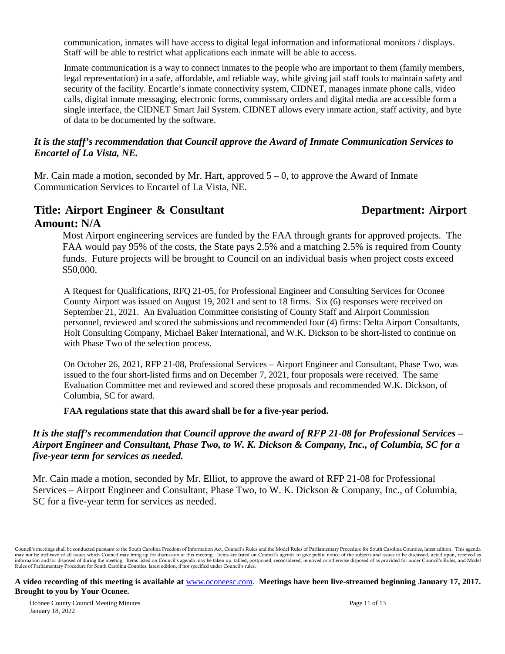communication, inmates will have access to digital legal information and informational monitors / displays. Staff will be able to restrict what applications each inmate will be able to access.

Inmate communication is a way to connect inmates to the people who are important to them (family members, legal representation) in a safe, affordable, and reliable way, while giving jail staff tools to maintain safety and security of the facility. Encartle's inmate connectivity system, CIDNET, manages inmate phone calls, video calls, digital inmate messaging, electronic forms, commissary orders and digital media are accessible form a single interface, the CIDNET Smart Jail System. CIDNET allows every inmate action, staff activity, and byte of data to be documented by the software.

#### *It is the staff's recommendation that Council approve the Award of Inmate Communication Services to Encartel of La Vista, NE.*

Mr. Cain made a motion, seconded by Mr. Hart, approved  $5 - 0$ , to approve the Award of Inmate Communication Services to Encartel of La Vista, NE.

# Title: Airport Engineer & Consultant **Department: Airport Amount: N/A**

Most Airport engineering services are funded by the FAA through grants for approved projects. The FAA would pay 95% of the costs, the State pays 2.5% and a matching 2.5% is required from County funds. Future projects will be brought to Council on an individual basis when project costs exceed \$50,000.

A Request for Qualifications, RFQ 21-05, for Professional Engineer and Consulting Services for Oconee County Airport was issued on August 19, 2021 and sent to 18 firms. Six (6) responses were received on September 21, 2021. An Evaluation Committee consisting of County Staff and Airport Commission personnel, reviewed and scored the submissions and recommended four (4) firms: Delta Airport Consultants, Holt Consulting Company, Michael Baker International, and W.K. Dickson to be short-listed to continue on with Phase Two of the selection process.

On October 26, 2021, RFP 21-08, Professional Services – Airport Engineer and Consultant, Phase Two, was issued to the four short-listed firms and on December 7, 2021, four proposals were received. The same Evaluation Committee met and reviewed and scored these proposals and recommended W.K. Dickson, of Columbia, SC for award.

**FAA regulations state that this award shall be for a five-year period.**

#### *It is the staff's recommendation that Council approve the award of RFP 21-08 for Professional Services – Airport Engineer and Consultant, Phase Two, to W. K. Dickson & Company, Inc., of Columbia, SC for a five-year term for services as needed.*

Mr. Cain made a motion, seconded by Mr. Elliot, to approve the award of RFP 21-08 for Professional Services – Airport Engineer and Consultant, Phase Two, to W. K. Dickson & Company, Inc., of Columbia, SC for a five-year term for services as needed.

Council's meetings shall be conducted pursuant to the South Carolina Freedom of Information Act, Council's Rules and the Model Rules of Parliamentary Procedure for South Carolina Counties, latest edition. This agenda may not be inclusive of all issues which Council may bring up for discussion at this meeting. Items are listed on Council's agenda to give public notice of the subjects and issues to be discussed, acted upon, received as<br>i Rules of Parliamentary Procedure for South Carolina Counties, latest edition, if not specified under Council's rules.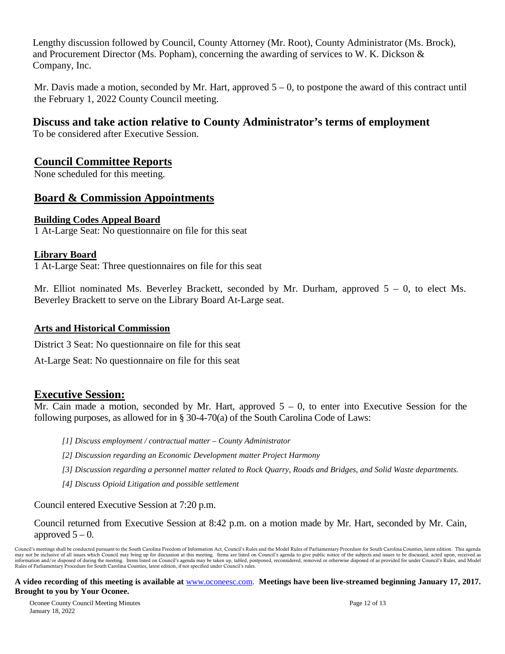Lengthy discussion followed by Council, County Attorney (Mr. Root), County Administrator (Ms. Brock), and Procurement Director (Ms. Popham), concerning the awarding of services to W. K. Dickson & Company, Inc.

Mr. Davis made a motion, seconded by Mr. Hart, approved  $5 - 0$ , to postpone the award of this contract until the February 1, 2022 County Council meeting.

# **Discuss and take action relative to County Administrator's terms of employment**

To be considered after Executive Session.

#### **Council Committee Reports**

None scheduled for this meeting.

#### **Board & Commission Appointments**

#### **Building Codes Appeal Board**

1 At-Large Seat: No questionnaire on file for this seat

#### **Library Board**

1 At-Large Seat: Three questionnaires on file for this seat

Mr. Elliot nominated Ms. Beverley Brackett, seconded by Mr. Durham, approved 5 – 0, to elect Ms. Beverley Brackett to serve on the Library Board At-Large seat.

#### **Arts and Historical Commission**

District 3 Seat: No questionnaire on file for this seat

At-Large Seat: No questionnaire on file for this seat

#### **Executive Session:**

Mr. Cain made a motion, seconded by Mr. Hart, approved  $5 - 0$ , to enter into Executive Session for the following purposes, as allowed for in § 30-4-70(a) of the South Carolina Code of Laws:

- *[1] Discuss employment / contractual matter – County Administrator*
- *[2] Discussion regarding an Economic Development matter Project Harmony*
- *[3] Discussion regarding a personnel matter related to Rock Quarry, Roads and Bridges, and Solid Waste departments.*
- *[4] Discuss Opioid Litigation and possible settlement*

Council entered Executive Session at 7:20 p.m.

Council returned from Executive Session at 8:42 p.m. on a motion made by Mr. Hart, seconded by Mr. Cain, approved  $5 - 0$ .

Council's meetings shall be conducted pursuant to the South Carolina Freedom of Information Act, Council's Rules and the Model Rules of Parliamentary Procedure for South Carolina Counties, latest edition. This agenda may not be inclusive of all issues which Council may bring up for discussion at this meeting. Items are listed on Council's agenda to give public notice of the subjects and issues to be discussed, acted upon, received as<br>i Rules of Parliamentary Procedure for South Carolina Counties, latest edition, if not specified under Council's rules.

#### **A video recording of this meeting is available at** [www.oconeesc.com.](http://www.oconeesc.com/) **Meetings have been live-streamed beginning January 17, 2017. Brought to you by Your Oconee.**

Oconee County Council Meeting Minutes Page 12 of 13 January 18, 2022